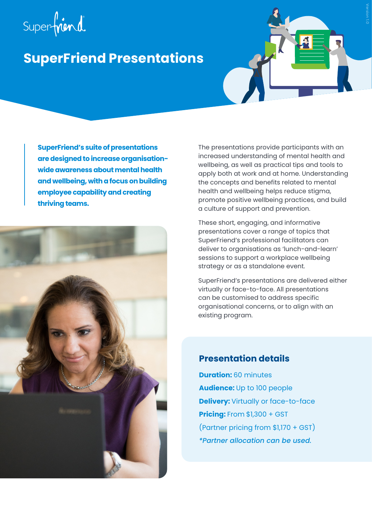# Superfriend

## **SuperFriend Presentations**

**SuperFriend's suite of presentations are designed to increase organisationwide awareness about mental health and wellbeing, with a focus on building employee capability and creating thriving teams.**



The presentations provide participants with an increased understanding of mental health and wellbeing, as well as practical tips and tools to apply both at work and at home. Understanding the concepts and benefits related to mental health and wellbeing helps reduce stigma, promote positive wellbeing practices, and build a culture of support and prevention.

These short, engaging, and informative presentations cover a range of topics that SuperFriend's professional facilitators can deliver to organisations as 'lunch-and-learn' sessions to support a workplace wellbeing strategy or as a standalone event.

SuperFriend's presentations are delivered either virtually or face-to-face. All presentations can be customised to address specific organisational concerns, or to align with an existing program.

#### **Presentation details**

**Duration:** 60 minutes **Audience:** Up to 100 people **Delivery:** Virtually or face-to-face **Pricing:** From \$1,300 + GST (Partner pricing from \$1,170 + GST) *\*Partner allocation can be used.*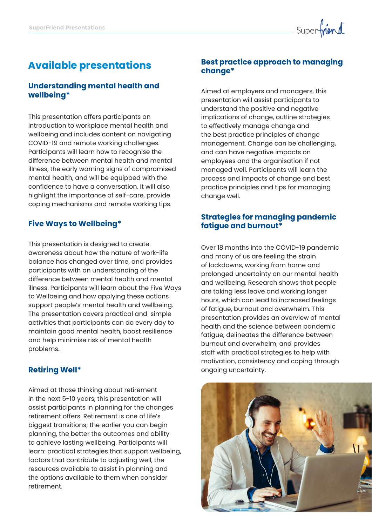

### **Available presentations**

#### **Understanding mental health and wellbeing\***

This presentation offers participants an introduction to workplace mental health and wellbeing and includes content on navigating COVID-19 and remote working challenges. Participants will learn how to recognise the difference between mental health and mental illness, the early warning signs of compromised mental health, and will be equipped with the confidence to have a conversation. It will also highlight the importance of self-care, provide coping mechanisms and remote working tips.

#### **Five Ways to Wellbeing\***

This presentation is designed to create awareness about how the nature of work-life balance has changed over time, and provides participants with an understanding of the difference between mental health and mental illness. Participants will learn about the Five Ways to Wellbeing and how applying these actions support people's mental health and wellbeing. The presentation covers practical and simple activities that participants can do every day to maintain good mental health, boost resilience and help minimise risk of mental health problems.

#### **Retiring Well\***

Aimed at those thinking about retirement in the next 5-10 years, this presentation will assist participants in planning for the changes retirement offers. Retirement is one of life's biggest transitions; the earlier you can begin planning, the better the outcomes and ability to achieve lasting wellbeing. Participants will learn: practical strategies that support wellbeing, factors that contribute to adjusting well, the resources available to assist in planning and the options available to them when consider retirement.

#### **Best practice approach to managing change\***

Aimed at employers and managers, this presentation will assist participants to understand the positive and negative implications of change, outline strategies to effectively manage change and the best practice principles of change management. Change can be challenging, and can have negative impacts on employees and the organisation if not managed well. Participants will learn the process and impacts of change and best practice principles and tips for managing change well.

#### **Strategies for managing pandemic fatigue and burnout\***

Over 18 months into the COVID-19 pandemic and many of us are feeling the strain of lockdowns, working from home and prolonged uncertainty on our mental health and wellbeing. Research shows that people are taking less leave and working longer hours, which can lead to increased feelings of fatigue, burnout and overwhelm. This presentation provides an overview of mental health and the science between pandemic fatigue, delineates the difference between burnout and overwhelm, and provides staff with practical strategies to help with motivation, consistency and coping through ongoing uncertainty.